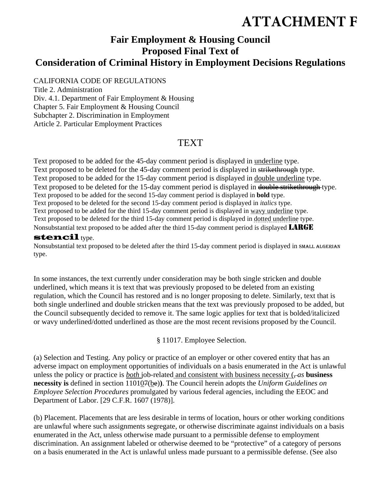# **ATTACHMENT F**

## **Fair Employment & Housing Council Proposed Final Text of Consideration of Criminal History in Employment Decisions Regulations**

CALIFORNIA CODE OF REGULATIONS

Title 2. Administration

Div. 4.1. Department of Fair Employment & Housing Chapter 5. Fair Employment & Housing Council Subchapter 2. Discrimination in Employment Article 2. Particular Employment Practices

## TEXT

Text proposed to be added for the 45-day comment period is displayed in underline type. Text proposed to be deleted for the 45-day comment period is displayed in strikethrough type. Text proposed to be added for the 15-day comment period is displayed in double underline type. Text proposed to be deleted for the 15-day comment period is displayed in double strikethrough type. Text proposed to be added for the second 15-day comment period is displayed in **bold** type. Text proposed to be deleted for the second 15-day comment period is displayed in *italics* type. Text proposed to be added for the third 15-day comment period is displayed in wavy underline type. Text proposed to be deleted for the third 15-day comment period is displayed in dotted underline type. Nonsubstantial text proposed to be added after the third 15-day comment period is displayed LARGE

#### stencil type.

Nonsubstantial text proposed to be deleted after the third 15-day comment period is displayed in SMALL ALGERIAN type.

In some instances, the text currently under consideration may be both single stricken and double underlined, which means it is text that was previously proposed to be deleted from an existing regulation, which the Council has restored and is no longer proposing to delete. Similarly, text that is both single underlined and double stricken means that the text was previously proposed to be added, but the Council subsequently decided to remove it. The same logic applies for text that is bolded/italicized or wavy underlined/dotted underlined as those are the most recent revisions proposed by the Council.

§ 11017. Employee Selection.

(a) Selection and Testing. Any policy or practice of an employer or other covered entity that has an adverse impact on employment opportunities of individuals on a basis enumerated in the Act is unlawful unless the policy or practice is  $both$  job-related and consistent with business necessity  $(-as)$  business **necessity is** defined in section 110107(be)**)**. The Council herein adopts the *Uniform Guidelines on Employee Selection Procedures* promulgated by various federal agencies, including the EEOC and Department of Labor. [29 C.F.R. 1607 (1978)].

(b) Placement. Placements that are less desirable in terms of location, hours or other working conditions are unlawful where such assignments segregate, or otherwise discriminate against individuals on a basis enumerated in the Act, unless otherwise made pursuant to a permissible defense to employment discrimination. An assignment labeled or otherwise deemed to be "protective" of a category of persons on a basis enumerated in the Act is unlawful unless made pursuant to a permissible defense. (See also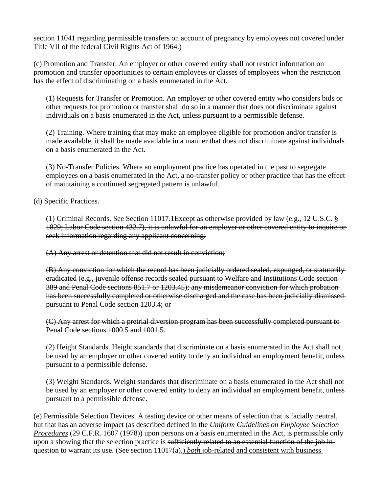section 11041 regarding permissible transfers on account of pregnancy by employees not covered under Title VII of the federal Civil Rights Act of 1964.)

(c) Promotion and Transfer. An employer or other covered entity shall not restrict information on promotion and transfer opportunities to certain employees or classes of employees when the restriction has the effect of discriminating on a basis enumerated in the Act.

(1) Requests for Transfer or Promotion. An employer or other covered entity who considers bids or other requests for promotion or transfer shall do so in a manner that does not discriminate against individuals on a basis enumerated in the Act, unless pursuant to a permissible defense.

(2) Training. Where training that may make an employee eligible for promotion and/or transfer is made available, it shall be made available in a manner that does not discriminate against individuals on a basis enumerated in the Act.

(3) No-Transfer Policies. Where an employment practice has operated in the past to segregate employees on a basis enumerated in the Act, a no-transfer policy or other practice that has the effect of maintaining a continued segregated pattern is unlawful.

(d) Specific Practices.

(1) Criminal Records. See Section 11017.1Except as otherwise provided by law (e.g.,  $12 \text{ U.S.C.}$  § 1829; Labor Code section 432.7), it is unlawful for an employer or other covered entity to inquire or seek information regarding any applicant concerning:

(A) Any arrest or detention that did not result in conviction;

(B) Any conviction for which the record has been judicially ordered sealed, expunged, or statutorily eradicated (e.g., juvenile offense records sealed pursuant to Welfare and Institutions Code section 389 and Penal Code sections 851.7 or 1203.45); any misdemeanor conviction for which probation has been successfully completed or otherwise discharged and the case has been judicially dismissed pursuant to Penal Code section 1203.4; or

(C) Any arrest for which a pretrial diversion program has been successfully completed pursuant to Penal Code sections 1000.5 and 1001.5.

(2) Height Standards. Height standards that discriminate on a basis enumerated in the Act shall not be used by an employer or other covered entity to deny an individual an employment benefit, unless pursuant to a permissible defense.

(3) Weight Standards. Weight standards that discriminate on a basis enumerated in the Act shall not be used by an employer or other covered entity to deny an individual an employment benefit, unless pursuant to a permissible defense.

(e) Permissible Selection Devices. A testing device or other means of selection that is facially neutral, but that has an adverse impact (as described defined in the *Uniform Guidelines on Employee Selection Procedures* (29 C.F.R. 1607 (1978)) upon persons on a basis enumerated in the Act, is permissible only upon a showing that the selection practice is sufficiently related to an essential function of the job inquestion to warrant its use. (See section 11017(a).) *both* job-related and consistent with business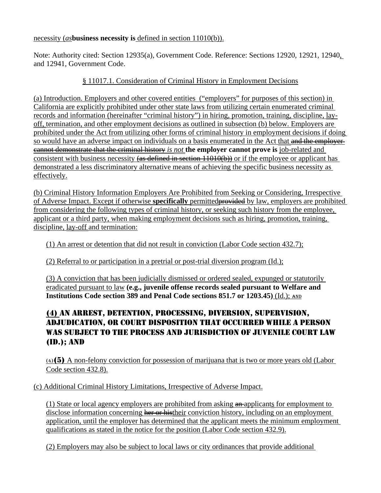#### necessity (*as***business necessity is** defined in section 11010(b)).

Note: Authority cited: Section 12935(a), Government Code. Reference: Sections 12920, 12921, 12940, and 12941, Government Code.

#### § 11017.1. Consideration of Criminal History in Employment Decisions

(a) Introduction. Employers and other covered entities ("employers" for purposes of this section) in California are explicitly prohibited under other state laws from utilizing certain enumerated criminal records and information (hereinafter "criminal history") in hiring, promotion, training, discipline, layoff, termination, and other employment decisions as outlined in subsection (b) below. Employers are prohibited under the Act from utilizing other forms of criminal history in employment decisions if doing so would have an adverse impact on individuals on a basis enumerated in the Act that and the employercannot demonstrate that the criminal history *is not* **the employer cannot prove is** job-related and consistent with business necessity (as defined in section 11010(b)) or if the employee or applicant has demonstrated a less discriminatory alternative means of achieving the specific business necessity as effectively.

(b) Criminal History Information Employers Are Prohibited from Seeking or Considering, Irrespective of Adverse Impact. Except if otherwise **specifically** permittedprovided by law, employers are prohibited from considering the following types of criminal history, or seeking such history from the employee, applicant or a third party, when making employment decisions such as hiring, promotion, training, discipline, lay-off and termination:

(1) An arrest or detention that did not result in conviction (Labor Code section 432.7);

#### (2) Referral to or participation in a pretrial or post-trial diversion program (Id.);

(3) A conviction that has been judicially dismissed or ordered sealed, expunged or statutorily eradicated pursuant to law **(e.g., juvenile offense records sealed pursuant to Welfare and Institutions Code section 389 and Penal Code sections 851.7 or 1203.45)** (Id.); AND

### (4) AN ARREST, DETENTION, PROCESSING, DIVERSION, SUPERVISION, ADJUDICATION, OR COURT DISPOSITION THAT OCCURRED WHILE A PERSON WAS SUBJECT TO THE PROCESS AND JURISDICTION OF JUVENILE COURT LAW (ID.); AND

 $(4)$ (5) A non-felony conviction for possession of marijuana that is two or more years old (Labor Code section 432.8).

#### (c) Additional Criminal History Limitations, Irrespective of Adverse Impact.

(1) State or local agency employers are prohibited from asking  $\frac{a_n}{a_n}$  applicants for employment to disclose information concerning her or histheir conviction history, including on an employment application, until the employer has determined that the applicant meets the minimum employment qualifications as stated in the notice for the position (Labor Code section 432.9).

(2) Employers may also be subject to local laws or city ordinances that provide additional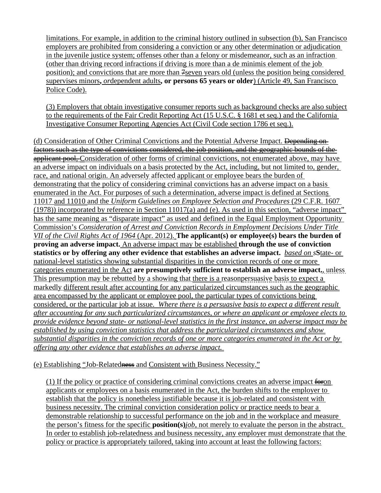limitations. For example, in addition to the criminal history outlined in subsection (b), San Francisco employers are prohibited from considering a conviction or any other determination or adjudication in the juvenile justice system; offenses other than a felony or misdemeanor, such as an infraction (other than driving record infractions if driving is more than a de minimis element of the job position); and convictions that are more than  $\frac{2}{\pi}$  years old (unless the position being considered supervises minors**,** *or*dependent adults**, or persons 65 years or older**) (Article 49, San Francisco Police Code).

(3) Employers that obtain investigative consumer reports such as background checks are also subject to the requirements of the Fair Credit Reporting Act (15 U.S.C. § 1681 et seq.) and the California Investigative Consumer Reporting Agencies Act (Civil Code section 1786 et seq.).

(d) Consideration of Other Criminal Convictions and the Potential Adverse Impact. <del>Depending on</del> factors such as the type of convictions considered, the job position, and the geographic bounds of the applicant pool, Consideration of other forms of criminal convictions, not enumerated above, may have an adverse impact on individuals on a basis protected by the Act, including, but not limited to, gender, race, and national origin. An adversely affected applicant or employee bears the burden of demonstrating that the policy of considering criminal convictions has an adverse impact on a basis enumerated in the Act. For purposes of such a determination, adverse impact is defined at Sections 11017 and 11010 and the *Uniform Guidelines on Employee Selection and Procedures* (29 C.F.R. 1607 (1978)) incorporated by reference in Section 11017(a) and (e). As used in this section, "adverse impact" has the same meaning as "disparate impact" as used and defined in the Equal Employment Opportunity Commission's *Consideration of Arrest and Conviction Records in Employment Decisions Under Title VII of the Civil Rights Act of 1964* (Apr. 2012). **The applicant(s) or employee(s) bears the burden of proving an adverse impact.** An adverse impact may be established **through the use of conviction statistics or by offering any other evidence that establishes an adverse impact.** *based on s***S**tate- or national-level statistics showing substantial disparities in the conviction records of one or more categories enumerated in the Act **are presumptively sufficient to establish an adverse impact.**, unless This presumption may be rebutted by a showing that there is a reasonpersuasive basis to expect a markedly different result after accounting for any particularized circumstances such as the geographic area encompassed by the applicant or employee pool, the particular types of convictions being considered, or the particular job at issue. *Where there is a persuasive basis to expect a different result after accounting for any such particularized circumstances, or where an applicant or employee elects to provide evidence beyond state- or national-level statistics in the first instance, an adverse impact may be established by using conviction statistics that address the particularized circumstances and show substantial disparities in the conviction records of one or more categories enumerated in the Act or by offering any other evidence that establishes an adverse impact.* 

#### (e) Establishing "Job-Relatedness and Consistent with Business Necessity."

 $(1)$  If the policy or practice of considering criminal convictions creates an adverse impact  $\frac{1}{\sqrt{1-\frac{1}{n}}}\int$ applicants or employees on a basis enumerated in the Act, the burden shifts to the employer to establish that the policy is nonetheless justifiable because it is job-related and consistent with business necessity. The criminal conviction consideration policy or practice needs to bear a demonstrable relationship to successful performance on the job and in the workplace and measure the person's fitness for the specific **position(s)***job*, not merely to evaluate the person in the abstract. In order to establish job-relatedness and business necessity, any employer must demonstrate that the policy or practice is appropriately tailored, taking into account at least the following factors: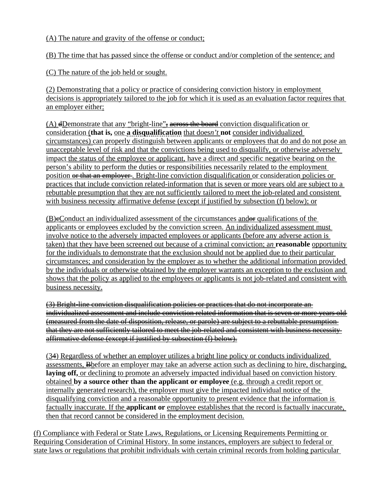(A) The nature and gravity of the offense or conduct;

(B) The time that has passed since the offense or conduct and/or completion of the sentence; and

(C) The nature of the job held or sought.

(2) Demonstrating that a policy or practice of considering conviction history in employment decisions is appropriately tailored to the job for which it is used as an evaluation factor requires that an employer either:

 $(A)$  dDemonstrate that any "bright-line", across the board conviction disqualification or consideration (**that is,** one **a disqualification** that does*n't* **not** consider individualized circumstances) can properly distinguish between applicants or employees that do and do not pose an unacceptable level of risk and that the convictions being used to disqualify, or otherwise adversely impact the status of the employee or applicant, have a direct and specific negative bearing on the person's ability to perform the duties or responsibilities necessarily related to the employment position or that an employer. Bright-line conviction disqualification or consideration policies or practices that include conviction related-information that is seven or more years old are subject to a rebuttable presumption that they are not sufficiently tailored to meet the job-related and consistent with business necessity affirmative defense (except if justified by subsection (f) below); or

 $(B)$ eConduct an individualized assessment of the circumstances and  $\theta$  qualifications of the applicants or employees excluded by the conviction screen. An individualized assessment must involve notice to the adversely impacted employees or applicants (before any adverse action is taken) that they have been screened out because of a criminal conviction; a*n* **reasonable** opportunity for the individuals to demonstrate that the exclusion should not be applied due to their particular circumstances; and consideration by the employer as to whether the additional information provided by the individuals or otherwise obtained by the employer warrants an exception to the exclusion and shows that the policy as applied to the employees or applicants is not job-related and consistent with business necessity.

(3) Bright-line conviction disqualification policies or practices that do not incorporate an individualized assessment and include conviction related information that is seven or more years old (measured from the date of disposition, release, or parole) are subject to a rebuttable presumption that they are not sufficiently tailored to meet the job-related and consistent with business necessity affirmative defense (except if justified by subsection (f) below).

(34) Regardless of whether an employer utilizes a bright line policy or conducts individualized assessments, Bbefore an employer may take an adverse action such as declining to hire, discharging, **laying off,** or declining to promote an adversely impacted individual based on conviction history obtained **by a source other than the applicant or employee** (e.g. through a credit report or internally generated research), the employer must give the impacted individual notice of the disqualifying conviction and a reasonable opportunity to present evidence that the information is factually inaccurate. If the **applicant or** employee establishes that the record is factually inaccurate, then that record cannot be considered in the employment decision.

(f) Compliance with Federal or State Laws, Regulations, or Licensing Requirements Permitting or Requiring Consideration of Criminal History. In some instances, employers are subject to federal or state laws or regulations that prohibit individuals with certain criminal records from holding particular